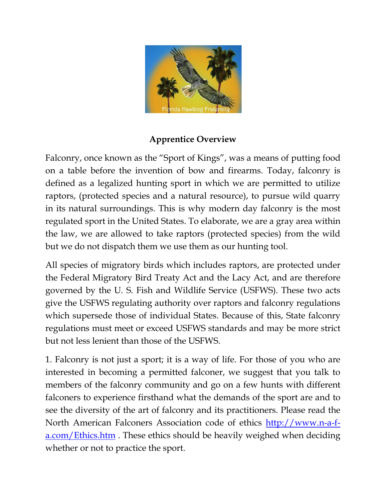

## **Apprentice Overview**

Falconry, once known as the "Sport of Kings", was a means of putting food on a table before the invention of bow and firearms. Today, falconry is defined as a legalized hunting sport in which we are permitted to utilize raptors, (protected species and a natural resource), to pursue wild quarry in its natural surroundings. This is why modern day falconry is the most regulated sport in the United States. To elaborate, we are a gray area within the law, we are allowed to take raptors (protected species) from the wild but we do not dispatch them we use them as our hunting tool.

All species of migratory birds which includes raptors, are protected under the Federal Migratory Bird Treaty Act and the Lacy Act, and are therefore governed by the U. S. Fish and Wildlife Service (USFWS). These two acts give the USFWS regulating authority over raptors and falconry regulations which supersede those of individual States. Because of this, State falconry regulations must meet or exceed USFWS standards and may be more strict but not less lenient than those of the USFWS.

1. Falconry is not just a sport; it is a way of life. For those of you who are interested in becoming a permitted falconer, we suggest that you talk to members of the falconry community and go on a few hunts with different falconers to experience firsthand what the demands of the sport are and to see the diversity of the art of falconry and its practitioners. Please read the North American Falconers Association code of ethics [http://www.n-a-f](http://www.n-a-f-a.com/Ethics.htm)[a.com/Ethics.htm](http://www.n-a-f-a.com/Ethics.htm). These ethics should be heavily weighed when deciding whether or not to practice the sport.